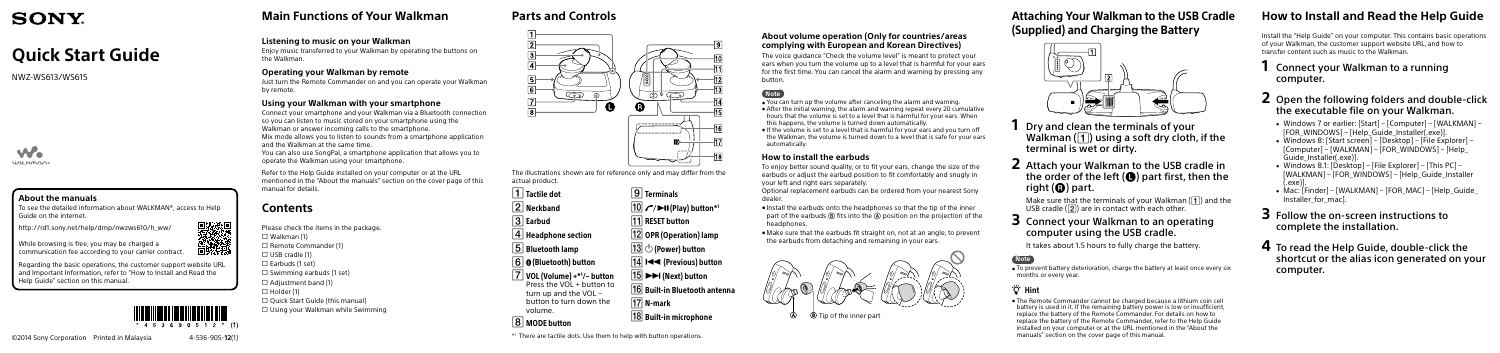## **Main Functions of Your Walkman**

### **Listening to music on your Walkman**

Enjoy music transferred to your Walkman by operating the buttons on the Walkman.

### **Operating your Walkman by remote**

Just turn the Remote Commander on and you can operate your Walkman by remote.

### **Using your Walkman with your smartphone**

Connect your smartphone and your Walkman via a Bluetooth connection so you can listen to music stored on your smartphone using the Walkman or answer incoming calls to the smartphone. Mix mode allows you to listen to sounds from a smartphone application

Please check the items in the package.  $\Box$  Walkman (1)  $\Box$  Remote Commander (1)  $\Box$  USB cradle (1)  $\square$  Earbuds (1 set)  $\Box$  Swimming earbuds (1 set)  $\Box$  Adjustment band (1)  $\Box$  Holder (1)  $\Box$  Quick Start Guide (this manual)  $\Box$  Using your Walkman while Swimming

and the Walkman at the same time.

You can also use SongPal, a smartphone application that allows you to operate the Walkman using your smartphone.

Refer to the Help Guide installed on your computer or at the URL mentioned in the "About the manuals" section on the cover page of this manual for details.

- **1** Dry and clean the terminals of your Walkman  $(\vert \mathbf{1} \vert)$  using a soft dry cloth, if the terminal is wet or dirty.
- **2** Attach your Walkman to the USB cradle in the order of the left  $($ **e**) part first, then the right  $\left(\mathbf{\Omega}\right)$  part.

Make sure that the terminals of your Walkman  $(\overline{1})$  and the USB cradle  $(\sqrt{2})$  are in contact with each other.

## **Contents**

# **SONY**

 $\overline{\bullet}$  To prevent battery deterioration, charge the battery at least once every six months or every year.

# **Quick Start Guide**

## <sup>්</sup>ඊ Hint

NWZ-WS613/WS615



### **About the manuals**

To see the detailed information about WALKMAN®, access to Help Guide on the internet.

http://rd1.sony.net/help/dmp/nwzws610/h\_ww/

While browsing is free, you may be charged a communication fee according to your carrier contract.

Regarding the basic operations, the customer support website URL and Important Information, refer to "How to Install and Read the Help Guide" section on this manual.



**Attaching Your Walkman to the USB Cradle (Supplied) and Charging the Battery**



## **3** Connect your Walkman to an operating computer using the USB cradle.

It takes about 1.5 hours to fully charge the battery.

### **Note**

ˎ The Remote Commander cannot be charged because a lithium coin cell battery is used in it. If the remaining battery power is low or insufficient, replace the battery of the Remote Commander. For details on how to replace the battery of the Remote Commander, refer to the Help Guide installed on your computer or at the URL mentioned in the "About the manuals" section on the cover page of this manual.

## **Parts and Controls**



The illustrations shown are for reference only and may differ from the actual product.

 $\overline{\mathsf{1}}$  Tactile dot 2 Neckband 3 Earbud  $\boxed{4}$  Headphone section Bluetooth lamp 6 **O** (Bluetooth) button VOL (Volume) +\*1 /– button Press the VOL + button to turn up and the VOL – button to turn down the volume. MODE button  $\boxed{9}$  Terminals  $\boxed{10}$   $C/DII$  (Play) button\*<sup>1</sup> **11** RESET button 12 OPR (Operation) lamp  $\fbox{13} \circ$  (Power) button  $\overline{14}$   $\overline{14}$  (Previous) button  $\overline{15}$   $\rightarrow$   $\rightarrow$  (Next) button  $\overline{16}$  Built-in Bluetooth antenna  $|17|$  N-mark  $|18|$  Built-in microphone

 $*1$  There are tactile dots. Use them to help with button operations.



#### **About volume operation (Only for countries/areas complying with European and Korean Directives)**

The voice guidance "Check the volume level" is meant to protect your ears when you turn the volume up to a level that is harmful for your ears for the first time. You can cancel the alarm and warning by pressing any button.

### **Note**

- ˎ You can turn up the volume after canceling the alarm and warning.
- After the initial warning, the alarm and warning repeat every 20 cumulative hours that the volume is set to a level that is harmful for your ears. When this happens, the volume is turned down automatically.
- If the volume is set to a level that is harmful for your ears and you turn off the Walkman, the volume is turned down to a level that is safe for your ears automatically.

#### **How to install the earbuds**

To enjoy better sound quality, or to fit your ears, change the size of the earbuds or adjust the earbud position to fit comfortably and snugly in your left and right ears separately.

Optional replacement earbuds can be ordered from your nearest Sony dealer.

- ˎ Install the earbuds onto the headphones so that the tip of the inner part of the earbuds  $(\widehat{B})$  fits into the  $(\widehat{A})$  position on the projection of the headphones
- $\bullet$  Make sure that the earbuds fit straight on, not at an angle, to prevent the earbuds from detaching and remaining in your ears.



## **How to Install and Read the Help Guide**

Install the "Help Guide" on your computer. This contains basic operations of your Walkman, the customer support website URL, and how to transfer content such as music to the Walkman.

## **1** Connect your Walkman to a running computer.

- **2** Open the following folders and double-click the executable file on your Walkman.
	- ˎ Windows 7 or earlier: [Start] [Computer] [WALKMAN] [FOR\_WINDOWS] – [Help\_Guide\_Installer(.exe)]
	- ˎ Windows 8: [Start screen] [Desktop] [File Explorer] [Computer] – [WALKMAN] – [FOR\_WINDOWS] – [Help\_ Guide\_Installer(.exe)].
	- ˎ Windows 8.1: [Desktop] [File Explorer] [This PC] [WALKMAN] – [FOR\_WINDOWS] – [Help\_Guide\_Installer (.exe)].
	- ˎ Mac: [Finder] [WALKMAN] [FOR\_MAC] [Help\_Guide\_ Installer for macl.
- **3** Follow the on-screen instructions to complete the installation.
- **4** To read the Help Guide, double-click the shortcut or the alias icon generated on your computer.